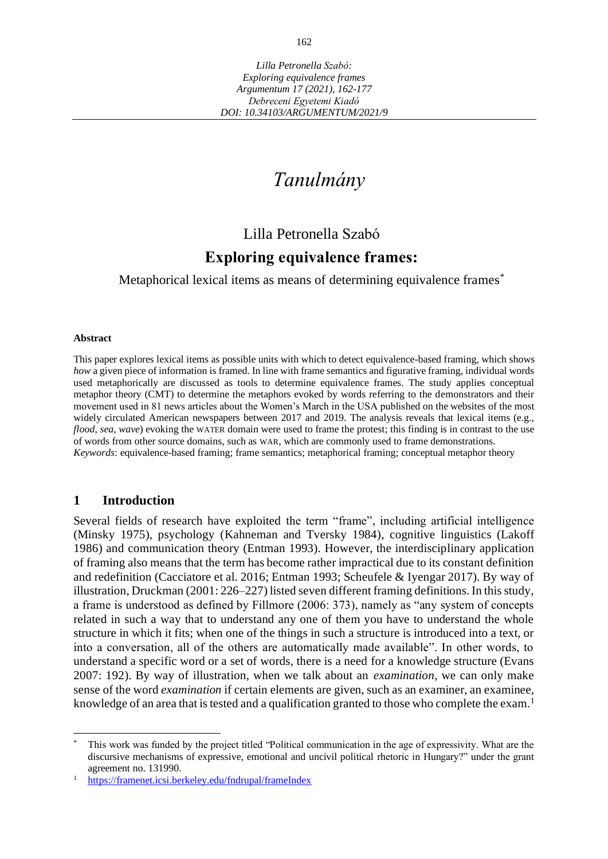# *Tanulmány*

# Lilla Petronella Szabó

# **Exploring equivalence frames:**

Metaphorical lexical items as means of determining equivalence frames<sup>\*</sup>

#### **Abstract**

This paper explores lexical items as possible units with which to detect equivalence-based framing, which shows *how* a given piece of information is framed. In line with frame semantics and figurative framing, individual words used metaphorically are discussed as tools to determine equivalence frames. The study applies conceptual metaphor theory (CMT) to determine the metaphors evoked by words referring to the demonstrators and their movement used in 81 news articles about the Women's March in the USA published on the websites of the most widely circulated American newspapers between 2017 and 2019. The analysis reveals that lexical items (e.g., *flood*, *sea*, *wave*) evoking the WATER domain were used to frame the protest; this finding is in contrast to the use of words from other source domains, such as WAR, which are commonly used to frame demonstrations. *Keywords*: equivalence-based framing; frame semantics; metaphorical framing; conceptual metaphor theory

# **1 Introduction**

Several fields of research have exploited the term "frame", including artificial intelligence (Minsky 1975), psychology (Kahneman and Tversky 1984), cognitive linguistics (Lakoff 1986) and communication theory (Entman 1993). However, the interdisciplinary application of framing also means that the term has become rather impractical due to its constant definition and redefinition (Cacciatore et al. 2016; Entman 1993; Scheufele & Iyengar 2017). By way of illustration, Druckman (2001: 226–227) listed seven different framing definitions. In this study, a frame is understood as defined by Fillmore (2006: 373), namely as "any system of concepts related in such a way that to understand any one of them you have to understand the whole structure in which it fits; when one of the things in such a structure is introduced into a text, or into a conversation, all of the others are automatically made available". In other words, to understand a specific word or a set of words, there is a need for a knowledge structure (Evans 2007: 192). By way of illustration, when we talk about an *examination*, we can only make sense of the word *examination* if certain elements are given, such as an examiner, an examinee, knowledge of an area that is tested and a qualification granted to those who complete the exam.<sup>1</sup>

This work was funded by the project titled "Political communication in the age of expressivity. What are the discursive mechanisms of expressive, emotional and uncivil political rhetoric in Hungary?" under the grant agreement no. 131990.

<https://framenet.icsi.berkeley.edu/fndrupal/frameIndex>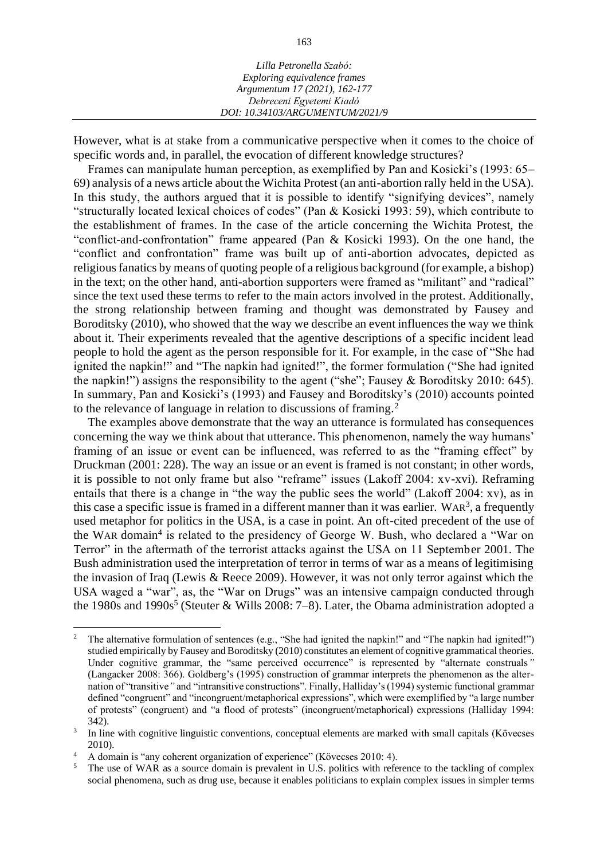| Lilla Petronella Szabó:         |  |
|---------------------------------|--|
| Exploring equivalence frames    |  |
| Argumentum 17 (2021), 162-177   |  |
| Debreceni Egyetemi Kiadó        |  |
| DOI: 10.34103/ARGUMENTUM/2021/9 |  |

However, what is at stake from a communicative perspective when it comes to the choice of specific words and, in parallel, the evocation of different knowledge structures?

Frames can manipulate human perception, as exemplified by Pan and Kosicki's (1993: 65– 69) analysis of a news article about the Wichita Protest (an anti-abortion rally held in the USA). In this study, the authors argued that it is possible to identify "signifying devices", namely "structurally located lexical choices of codes" (Pan & Kosicki 1993: 59), which contribute to the establishment of frames. In the case of the article concerning the Wichita Protest, the "conflict-and-confrontation" frame appeared (Pan & Kosicki 1993). On the one hand, the "conflict and confrontation" frame was built up of anti-abortion advocates, depicted as religious fanatics by means of quoting people of a religious background (for example, a bishop) in the text; on the other hand, anti-abortion supporters were framed as "militant" and "radical" since the text used these terms to refer to the main actors involved in the protest. Additionally, the strong relationship between framing and thought was demonstrated by Fausey and Boroditsky (2010), who showed that the way we describe an event influences the way we think about it. Their experiments revealed that the agentive descriptions of a specific incident lead people to hold the agent as the person responsible for it. For example, in the case of "She had ignited the napkin!" and "The napkin had ignited!", the former formulation ("She had ignited the napkin!") assigns the responsibility to the agent ("she"; Fausey & Boroditsky 2010: 645). In summary, Pan and Kosicki's (1993) and Fausey and Boroditsky's (2010) accounts pointed to the relevance of language in relation to discussions of framing.<sup>2</sup>

The examples above demonstrate that the way an utterance is formulated has consequences concerning the way we think about that utterance. This phenomenon, namely the way humans' framing of an issue or event can be influenced, was referred to as the "framing effect" by Druckman (2001: 228). The way an issue or an event is framed is not constant; in other words, it is possible to not only frame but also "reframe" issues (Lakoff 2004: xv-xvi). Reframing entails that there is a change in "the way the public sees the world" (Lakoff 2004: xv), as in this case a specific issue is framed in a different manner than it was earlier. WAR<sup>3</sup>, a frequently used metaphor for politics in the USA, is a case in point. An oft-cited precedent of the use of the WAR domain<sup>4</sup> is related to the presidency of George W. Bush, who declared a "War on Terror" in the aftermath of the terrorist attacks against the USA on 11 September 2001. The Bush administration used the interpretation of terror in terms of war as a means of legitimising the invasion of Iraq (Lewis & Reece 2009). However, it was not only terror against which the USA waged a "war", as, the "War on Drugs" was an intensive campaign conducted through the 1980s and 1990s<sup>5</sup> (Steuter & Wills 2008: 7-8). Later, the Obama administration adopted a

<sup>&</sup>lt;sup>2</sup> The alternative formulation of sentences (e.g., "She had ignited the napkin!" and "The napkin had ignited!") studied empirically by Fausey and Boroditsky (2010) constitutes an element of cognitive grammatical theories. Under cognitive grammar, the "same perceived occurrence" is represented by "alternate construals*"* (Langacker 2008: 366). Goldberg's (1995) construction of grammar interprets the phenomenon as the alternation of "transitive*"* and "intransitive constructions". Finally, Halliday's (1994) systemic functional grammar defined "congruent" and "incongruent/metaphorical expressions", which were exemplified by "a large number of protests" (congruent) and "a flood of protests" (incongruent/metaphorical) expressions (Halliday 1994: 342).

<sup>3</sup> In line with cognitive linguistic conventions, conceptual elements are marked with small capitals (Kövecses 2010).

<sup>&</sup>lt;sup>4</sup> A domain is "any coherent organization of experience" (Kövecses 2010: 4).<br><sup>5</sup> The use of WAR as a source domain is prevalent in U.S. politics with refer-

<sup>5</sup> The use of WAR as a source domain is prevalent in U.S. politics with reference to the tackling of complex social phenomena, such as drug use, because it enables politicians to explain complex issues in simpler terms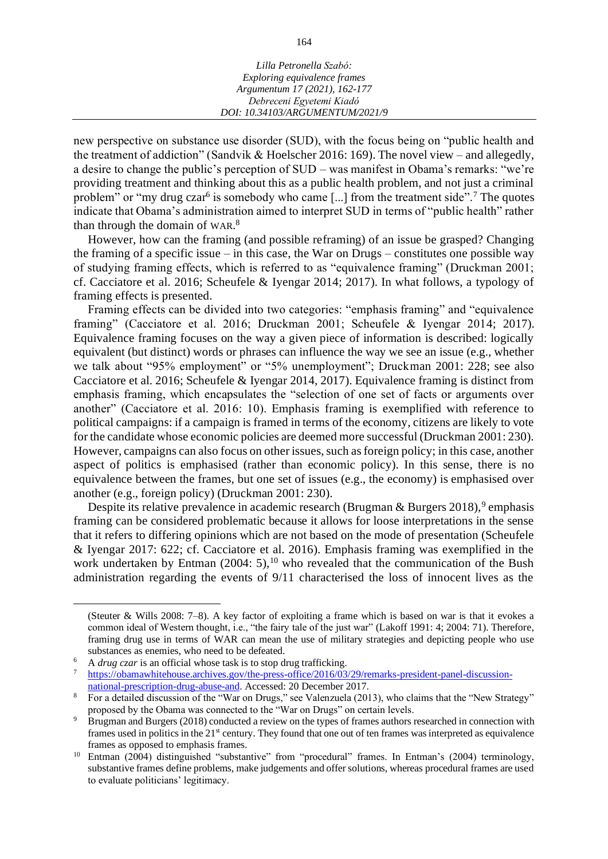| Lilla Petronella Szabó:         |
|---------------------------------|
| Exploring equivalence frames    |
| Argumentum 17 (2021), 162-177   |
| Debreceni Egyetemi Kiadó        |
| DOI: 10.34103/ARGUMENTUM/2021/9 |

new perspective on substance use disorder (SUD), with the focus being on "public health and the treatment of addiction" (Sandvik & Hoelscher 2016: 169). The novel view – and allegedly, a desire to change the public's perception of SUD – was manifest in Obama's remarks: "we're providing treatment and thinking about this as a public health problem, and not just a criminal problem" or "my drug czar<sup>6</sup> is somebody who came [...] from the treatment side".<sup>7</sup> The quotes indicate that Obama's administration aimed to interpret SUD in terms of "public health" rather than through the domain of WAR.<sup>8</sup>

However, how can the framing (and possible reframing) of an issue be grasped? Changing the framing of a specific issue – in this case, the War on Drugs – constitutes one possible way of studying framing effects, which is referred to as "equivalence framing" (Druckman 2001; cf. Cacciatore et al. 2016; Scheufele & Iyengar 2014; 2017). In what follows, a typology of framing effects is presented.

Framing effects can be divided into two categories: "emphasis framing" and "equivalence framing" (Cacciatore et al. 2016; Druckman 2001; Scheufele & Iyengar 2014; 2017). Equivalence framing focuses on the way a given piece of information is described: logically equivalent (but distinct) words or phrases can influence the way we see an issue (e.g., whether we talk about "95% employment" or "5% unemployment"; Druckman 2001: 228; see also Cacciatore et al. 2016; Scheufele & Iyengar 2014, 2017). Equivalence framing is distinct from emphasis framing, which encapsulates the "selection of one set of facts or arguments over another" (Cacciatore et al. 2016: 10). Emphasis framing is exemplified with reference to political campaigns: if a campaign is framed in terms of the economy, citizens are likely to vote for the candidate whose economic policies are deemed more successful (Druckman 2001: 230). However, campaigns can also focus on other issues, such as foreign policy; in this case, another aspect of politics is emphasised (rather than economic policy). In this sense, there is no equivalence between the frames, but one set of issues (e.g., the economy) is emphasised over another (e.g., foreign policy) (Druckman 2001: 230).

Despite its relative prevalence in academic research (Brugman & Burgers 2018),<sup>9</sup> emphasis framing can be considered problematic because it allows for loose interpretations in the sense that it refers to differing opinions which are not based on the mode of presentation (Scheufele & Iyengar 2017: 622; cf. Cacciatore et al. 2016). Emphasis framing was exemplified in the work undertaken by Entman  $(2004: 5)$ ,<sup>10</sup> who revealed that the communication of the Bush administration regarding the events of 9/11 characterised the loss of innocent lives as the

<sup>(</sup>Steuter & Wills 2008: 7–8). A key factor of exploiting a frame which is based on war is that it evokes a common ideal of Western thought, i.e., "the fairy tale of the just war" (Lakoff 1991: 4; 2004: 71). Therefore, framing drug use in terms of WAR can mean the use of military strategies and depicting people who use substances as enemies, who need to be defeated.

<sup>6</sup> A *drug czar* is an official whose task is to stop drug trafficking.

[https://obamawhitehouse.archives.gov/the-press-office/2016/03/29/remarks-president-panel-discussion](https://obamawhitehouse.archives.gov/the-press-office/2016/03/29/remarks-president-panel-discussion-national-prescription-drug-abuse-and)[national-prescription-drug-abuse-and.](https://obamawhitehouse.archives.gov/the-press-office/2016/03/29/remarks-president-panel-discussion-national-prescription-drug-abuse-and) Accessed: 20 December 2017.

<sup>8</sup> For a detailed discussion of the "War on Drugs," see Valenzuela (2013), who claims that the "New Strategy" proposed by the Obama was connected to the "War on Drugs" on certain levels.

<sup>9</sup> Brugman and Burgers (2018) conducted a review on the types of frames authors researched in connection with frames used in politics in the 21<sup>st</sup> century. They found that one out of ten frames was interpreted as equivalence frames as opposed to emphasis frames.

<sup>&</sup>lt;sup>10</sup> Entman (2004) distinguished "substantive" from "procedural" frames. In Entman's (2004) terminology, substantive frames define problems, make judgements and offer solutions, whereas procedural frames are used to evaluate politicians' legitimacy.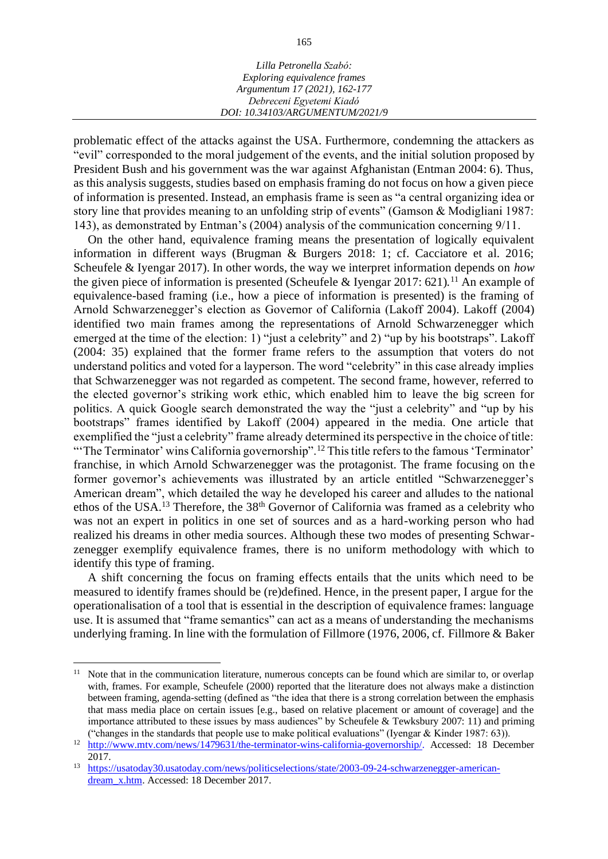| Lilla Petronella Szabó:         |  |
|---------------------------------|--|
| Exploring equivalence frames    |  |
| Argumentum 17 (2021), 162-177   |  |
| Debreceni Egyetemi Kiadó        |  |
| DOI: 10.34103/ARGUMENTUM/2021/9 |  |

problematic effect of the attacks against the USA. Furthermore, condemning the attackers as "evil" corresponded to the moral judgement of the events, and the initial solution proposed by President Bush and his government was the war against Afghanistan (Entman 2004: 6). Thus, as this analysis suggests, studies based on emphasis framing do not focus on how a given piece of information is presented. Instead, an emphasis frame is seen as "a central organizing idea or story line that provides meaning to an unfolding strip of events" (Gamson & Modigliani 1987: 143), as demonstrated by Entman's (2004) analysis of the communication concerning 9/11.

On the other hand, equivalence framing means the presentation of logically equivalent information in different ways (Brugman & Burgers 2018: 1; cf. Cacciatore et al. 2016; Scheufele & Iyengar 2017). In other words, the way we interpret information depends on *how* the given piece of information is presented (Scheufele & Iyengar 2017: 621).<sup>11</sup> An example of equivalence-based framing (i.e., how a piece of information is presented) is the framing of Arnold Schwarzenegger's election as Governor of California (Lakoff 2004). Lakoff (2004) identified two main frames among the representations of Arnold Schwarzenegger which emerged at the time of the election: 1) "just a celebrity" and 2) "up by his bootstraps". Lakoff (2004: 35) explained that the former frame refers to the assumption that voters do not understand politics and voted for a layperson. The word "celebrity" in this case already implies that Schwarzenegger was not regarded as competent. The second frame, however, referred to the elected governor's striking work ethic, which enabled him to leave the big screen for politics. A quick Google search demonstrated the way the "just a celebrity" and "up by his bootstraps" frames identified by Lakoff (2004) appeared in the media. One article that exemplified the "just a celebrity" frame already determined its perspective in the choice of title: "The Terminator' wins California governorship".<sup>12</sup> This title refers to the famous 'Terminator' franchise, in which Arnold Schwarzenegger was the protagonist. The frame focusing on the former governor's achievements was illustrated by an article entitled "Schwarzenegger's American dream", which detailed the way he developed his career and alludes to the national ethos of the USA.<sup>13</sup> Therefore, the 38<sup>th</sup> Governor of California was framed as a celebrity who was not an expert in politics in one set of sources and as a hard-working person who had realized his dreams in other media sources. Although these two modes of presenting Schwarzenegger exemplify equivalence frames, there is no uniform methodology with which to identify this type of framing.

A shift concerning the focus on framing effects entails that the units which need to be measured to identify frames should be (re)defined. Hence, in the present paper, I argue for the operationalisation of a tool that is essential in the description of equivalence frames: language use. It is assumed that "frame semantics" can act as a means of understanding the mechanisms underlying framing. In line with the formulation of Fillmore (1976, 2006, cf. Fillmore & Baker

<sup>&</sup>lt;sup>11</sup> Note that in the communication literature, numerous concepts can be found which are similar to, or overlap with, frames. For example, Scheufele (2000) reported that the literature does not always make a distinction between framing, agenda-setting (defined as "the idea that there is a strong correlation between the emphasis that mass media place on certain issues [e.g., based on relative placement or amount of coverage] and the importance attributed to these issues by mass audiences" by Scheufele & Tewksbury 2007: 11) and priming ("changes in the standards that people use to make political evaluations" (Iyengar & Kinder 1987: 63)).

<sup>&</sup>lt;sup>12</sup> [http://www.mtv.com/news/1479631/the-terminator-wins-california-governorship/.](http://www.mtv.com/news/1479631/the-terminator-wins-california-governorship/) Accessed: 18 December 2017.

<sup>&</sup>lt;sup>13</sup> [https://usatoday30.usatoday.com/news/politicselections/state/2003-09-24-schwarzenegger-american](https://usatoday30.usatoday.com/news/politicselections/state/2003-09-24-schwarzenegger-american-dream_x.htm)[dream\\_x.htm.](https://usatoday30.usatoday.com/news/politicselections/state/2003-09-24-schwarzenegger-american-dream_x.htm) Accessed: 18 December 2017.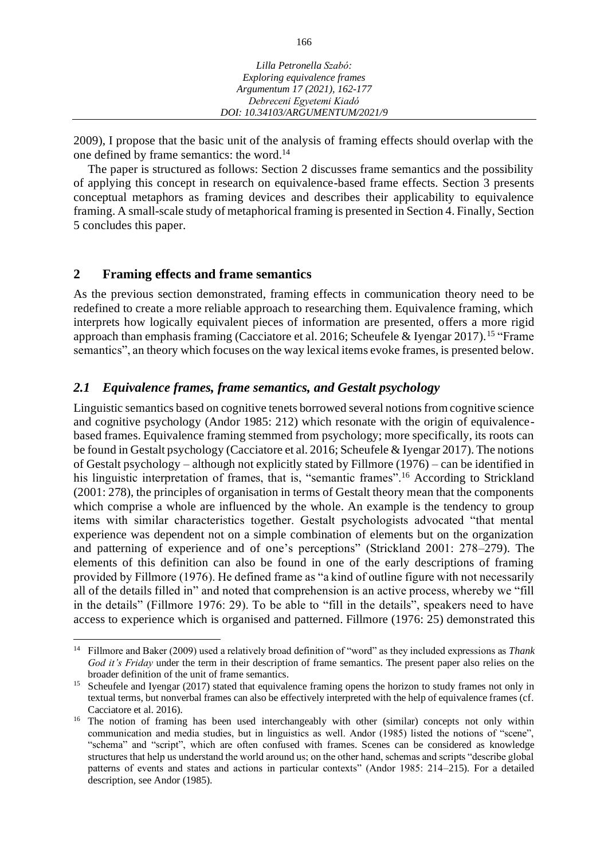| Lilla Petronella Szabó:         |  |
|---------------------------------|--|
| Exploring equivalence frames    |  |
| Argumentum 17 (2021), 162-177   |  |
| Debreceni Egyetemi Kiadó        |  |
| DOI: 10.34103/ARGUMENTUM/2021/9 |  |

2009), I propose that the basic unit of the analysis of framing effects should overlap with the one defined by frame semantics: the word.<sup>14</sup>

The paper is structured as follows: Section 2 discusses frame semantics and the possibility of applying this concept in research on equivalence-based frame effects. Section 3 presents conceptual metaphors as framing devices and describes their applicability to equivalence framing. A small-scale study of metaphorical framing is presented in Section 4. Finally, Section 5 concludes this paper.

### **2 Framing effects and frame semantics**

As the previous section demonstrated, framing effects in communication theory need to be redefined to create a more reliable approach to researching them. Equivalence framing, which interprets how logically equivalent pieces of information are presented, offers a more rigid approach than emphasis framing (Cacciatore et al. 2016; Scheufele & Iyengar 2017).<sup>15</sup> "Frame semantics", an theory which focuses on the way lexical items evoke frames, is presented below.

# *2.1 Equivalence frames, frame semantics, and Gestalt psychology*

Linguistic semantics based on cognitive tenets borrowed several notions from cognitive science and cognitive psychology (Andor 1985: 212) which resonate with the origin of equivalencebased frames. Equivalence framing stemmed from psychology; more specifically, its roots can be found in Gestalt psychology (Cacciatore et al. 2016; Scheufele & Iyengar 2017). The notions of Gestalt psychology – although not explicitly stated by Fillmore (1976) – can be identified in his linguistic interpretation of frames, that is, "semantic frames".<sup>16</sup> According to Strickland (2001: 278), the principles of organisation in terms of Gestalt theory mean that the components which comprise a whole are influenced by the whole. An example is the tendency to group items with similar characteristics together. Gestalt psychologists advocated "that mental experience was dependent not on a simple combination of elements but on the organization and patterning of experience and of one's perceptions" (Strickland 2001: 278–279). The elements of this definition can also be found in one of the early descriptions of framing provided by Fillmore (1976). He defined frame as "a kind of outline figure with not necessarily all of the details filled in" and noted that comprehension is an active process, whereby we "fill in the details" (Fillmore 1976: 29). To be able to "fill in the details", speakers need to have access to experience which is organised and patterned. Fillmore (1976: 25) demonstrated this

<sup>14</sup> Fillmore and Baker (2009) used a relatively broad definition of "word" as they included expressions as *Thank God it's Friday* under the term in their description of frame semantics. The present paper also relies on the broader definition of the unit of frame semantics.

<sup>&</sup>lt;sup>15</sup> Scheufele and Iyengar (2017) stated that equivalence framing opens the horizon to study frames not only in textual terms, but nonverbal frames can also be effectively interpreted with the help of equivalence frames (cf. Cacciatore et al. 2016).

<sup>&</sup>lt;sup>16</sup> The notion of framing has been used interchangeably with other (similar) concepts not only within communication and media studies, but in linguistics as well. Andor (1985) listed the notions of "scene", "schema" and "script", which are often confused with frames. Scenes can be considered as knowledge structures that help us understand the world around us; on the other hand, schemas and scripts "describe global patterns of events and states and actions in particular contexts" (Andor 1985: 214–215). For a detailed description, see Andor (1985).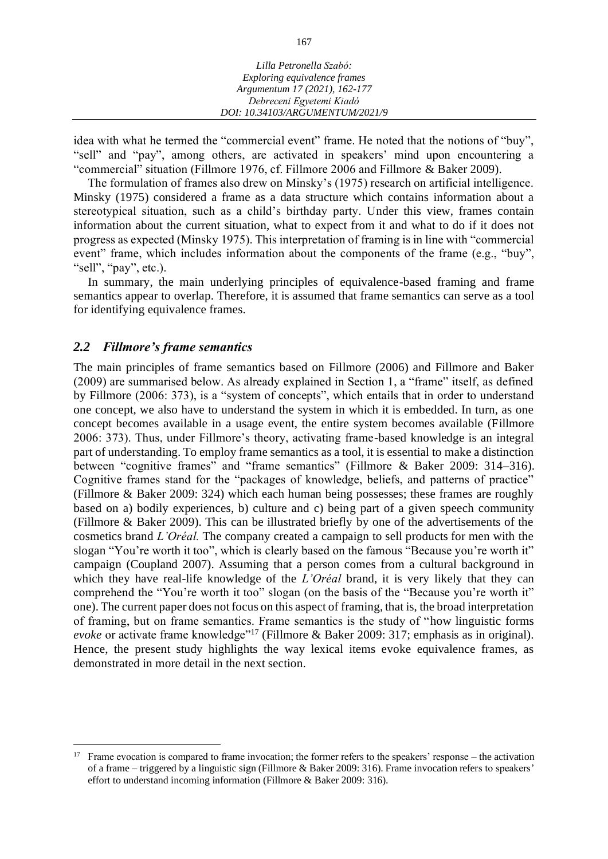| Lilla Petronella Szabó:         |  |
|---------------------------------|--|
| Exploring equivalence frames    |  |
| Argumentum 17 (2021), 162-177   |  |
| Debreceni Egyetemi Kiadó        |  |
| DOI: 10.34103/ARGUMENTUM/2021/9 |  |

idea with what he termed the "commercial event" frame. He noted that the notions of "buy", "sell" and "pay", among others, are activated in speakers' mind upon encountering a "commercial" situation (Fillmore 1976, cf. Fillmore 2006 and Fillmore & Baker 2009).

The formulation of frames also drew on Minsky's (1975) research on artificial intelligence. Minsky (1975) considered a frame as a data structure which contains information about a stereotypical situation, such as a child's birthday party. Under this view, frames contain information about the current situation, what to expect from it and what to do if it does not progress as expected (Minsky 1975). This interpretation of framing is in line with "commercial event" frame, which includes information about the components of the frame (e.g., "buy", "sell", "pay", etc.).

In summary, the main underlying principles of equivalence-based framing and frame semantics appear to overlap. Therefore, it is assumed that frame semantics can serve as a tool for identifying equivalence frames.

#### *2.2 Fillmore's frame semantics*

The main principles of frame semantics based on Fillmore (2006) and Fillmore and Baker (2009) are summarised below. As already explained in Section 1, a "frame" itself, as defined by Fillmore (2006: 373), is a "system of concepts", which entails that in order to understand one concept, we also have to understand the system in which it is embedded. In turn, as one concept becomes available in a usage event, the entire system becomes available (Fillmore 2006: 373). Thus, under Fillmore's theory, activating frame-based knowledge is an integral part of understanding. To employ frame semantics as a tool, it is essential to make a distinction between "cognitive frames" and "frame semantics" (Fillmore & Baker 2009: 314–316). Cognitive frames stand for the "packages of knowledge, beliefs, and patterns of practice" (Fillmore & Baker 2009: 324) which each human being possesses; these frames are roughly based on a) bodily experiences, b) culture and c) being part of a given speech community (Fillmore & Baker 2009). This can be illustrated briefly by one of the advertisements of the cosmetics brand *L'Oréal.* The company created a campaign to sell products for men with the slogan "You're worth it too", which is clearly based on the famous "Because you're worth it" campaign (Coupland 2007). Assuming that a person comes from a cultural background in which they have real-life knowledge of the *L'Oréal* brand, it is very likely that they can comprehend the "You're worth it too" slogan (on the basis of the "Because you're worth it" one). The current paper does not focus on this aspect of framing, that is, the broad interpretation of framing, but on frame semantics. Frame semantics is the study of "how linguistic forms *evoke* or activate frame knowledge"<sup>17</sup> (Fillmore & Baker 2009: 317; emphasis as in original). Hence, the present study highlights the way lexical items evoke equivalence frames, as demonstrated in more detail in the next section.

<sup>&</sup>lt;sup>17</sup> Frame evocation is compared to frame invocation; the former refers to the speakers' response – the activation of a frame – triggered by a linguistic sign (Fillmore & Baker 2009: 316). Frame invocation refers to speakers' effort to understand incoming information (Fillmore & Baker 2009: 316).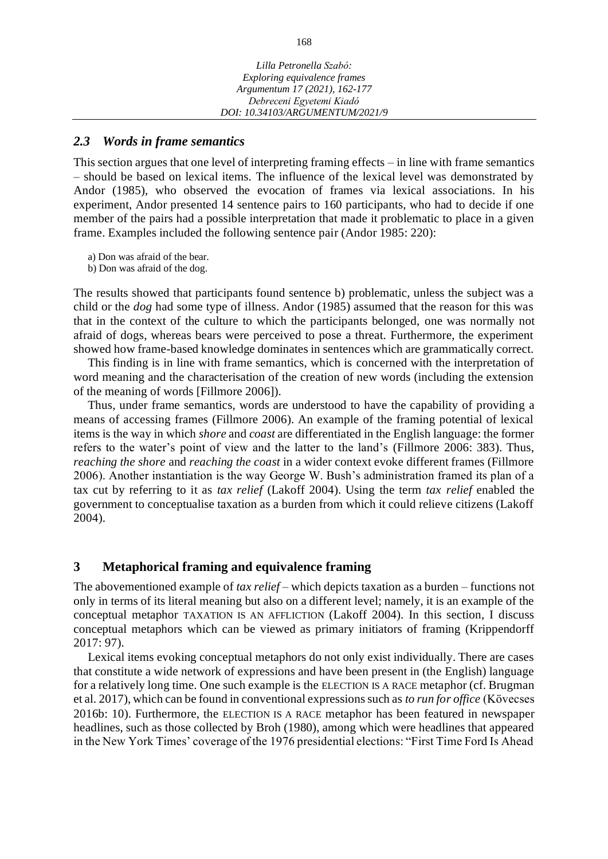#### *2.3 Words in frame semantics*

This section argues that one level of interpreting framing effects – in line with frame semantics – should be based on lexical items. The influence of the lexical level was demonstrated by Andor (1985), who observed the evocation of frames via lexical associations. In his experiment, Andor presented 14 sentence pairs to 160 participants, who had to decide if one member of the pairs had a possible interpretation that made it problematic to place in a given frame. Examples included the following sentence pair (Andor 1985: 220):

a) Don was afraid of the bear.

b) Don was afraid of the dog.

The results showed that participants found sentence b) problematic, unless the subject was a child or the *dog* had some type of illness. Andor (1985) assumed that the reason for this was that in the context of the culture to which the participants belonged, one was normally not afraid of dogs, whereas bears were perceived to pose a threat. Furthermore, the experiment showed how frame-based knowledge dominates in sentences which are grammatically correct.

This finding is in line with frame semantics, which is concerned with the interpretation of word meaning and the characterisation of the creation of new words (including the extension of the meaning of words [Fillmore 2006]).

Thus, under frame semantics, words are understood to have the capability of providing a means of accessing frames (Fillmore 2006). An example of the framing potential of lexical items is the way in which *shore* and *coast* are differentiated in the English language: the former refers to the water's point of view and the latter to the land's (Fillmore 2006: 383). Thus, *reaching the shore* and *reaching the coast* in a wider context evoke different frames (Fillmore 2006). Another instantiation is the way George W. Bush's administration framed its plan of a tax cut by referring to it as *tax relief* (Lakoff 2004). Using the term *tax relief* enabled the government to conceptualise taxation as a burden from which it could relieve citizens (Lakoff 2004).

#### **3 Metaphorical framing and equivalence framing**

The abovementioned example of *tax relief* – which depicts taxation as a burden – functions not only in terms of its literal meaning but also on a different level; namely, it is an example of the conceptual metaphor TAXATION IS AN AFFLICTION (Lakoff 2004). In this section, I discuss conceptual metaphors which can be viewed as primary initiators of framing (Krippendorff 2017: 97).

Lexical items evoking conceptual metaphors do not only exist individually. There are cases that constitute a wide network of expressions and have been present in (the English) language for a relatively long time. One such example is the ELECTION IS A RACE metaphor (cf. Brugman et al. 2017), which can be found in conventional expressions such as *to run for office* (Kövecses 2016b: 10). Furthermore, the ELECTION IS A RACE metaphor has been featured in newspaper headlines, such as those collected by Broh (1980), among which were headlines that appeared in the New York Times' coverage of the 1976 presidential elections: "First Time Ford Is Ahead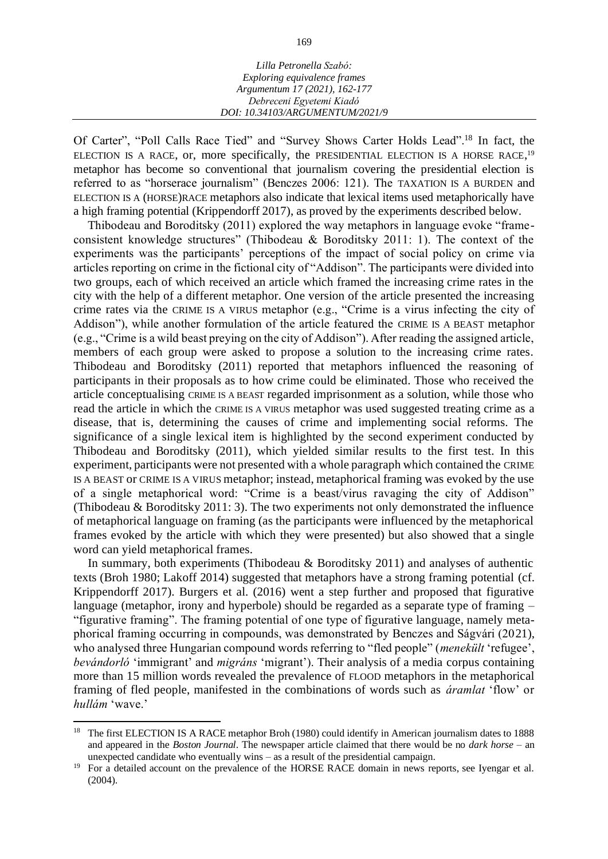| Lilla Petronella Szabó:         |  |
|---------------------------------|--|
| Exploring equivalence frames    |  |
| Argumentum 17 (2021), 162-177   |  |
| Debreceni Egyetemi Kiadó        |  |
| DOI: 10.34103/ARGUMENTUM/2021/9 |  |

Of Carter", "Poll Calls Race Tied" and "Survey Shows Carter Holds Lead".<sup>18</sup> In fact, the ELECTION IS A RACE, or, more specifically, the PRESIDENTIAL ELECTION IS A HORSE RACE,<sup>19</sup> metaphor has become so conventional that journalism covering the presidential election is referred to as "horserace journalism" (Benczes 2006: 121). The TAXATION IS A BURDEN and ELECTION IS A (HORSE)RACE metaphors also indicate that lexical items used metaphorically have a high framing potential (Krippendorff 2017), as proved by the experiments described below.

Thibodeau and Boroditsky (2011) explored the way metaphors in language evoke "frameconsistent knowledge structures" (Thibodeau & Boroditsky 2011: 1). The context of the experiments was the participants' perceptions of the impact of social policy on crime via articles reporting on crime in the fictional city of "Addison". The participants were divided into two groups, each of which received an article which framed the increasing crime rates in the city with the help of a different metaphor. One version of the article presented the increasing crime rates via the CRIME IS A VIRUS metaphor (e.g., "Crime is a virus infecting the city of Addison"), while another formulation of the article featured the CRIME IS A BEAST metaphor (e.g., "Crime is a wild beast preying on the city of Addison"). After reading the assigned article, members of each group were asked to propose a solution to the increasing crime rates. Thibodeau and Boroditsky (2011) reported that metaphors influenced the reasoning of participants in their proposals as to how crime could be eliminated. Those who received the article conceptualising CRIME IS A BEAST regarded imprisonment as a solution, while those who read the article in which the CRIME IS A VIRUS metaphor was used suggested treating crime as a disease, that is, determining the causes of crime and implementing social reforms. The significance of a single lexical item is highlighted by the second experiment conducted by Thibodeau and Boroditsky (2011), which yielded similar results to the first test. In this experiment, participants were not presented with a whole paragraph which contained the CRIME IS A BEAST or CRIME IS A VIRUS metaphor; instead, metaphorical framing was evoked by the use of a single metaphorical word: "Crime is a beast/virus ravaging the city of Addison" (Thibodeau & Boroditsky 2011: 3). The two experiments not only demonstrated the influence of metaphorical language on framing (as the participants were influenced by the metaphorical frames evoked by the article with which they were presented) but also showed that a single word can yield metaphorical frames.

In summary, both experiments (Thibodeau & Boroditsky 2011) and analyses of authentic texts (Broh 1980; Lakoff 2014) suggested that metaphors have a strong framing potential (cf. Krippendorff 2017). Burgers et al. (2016) went a step further and proposed that figurative language (metaphor, irony and hyperbole) should be regarded as a separate type of framing – "figurative framing". The framing potential of one type of figurative language, namely metaphorical framing occurring in compounds, was demonstrated by Benczes and Ságvári (2021), who analysed three Hungarian compound words referring to "fled people" (*menekült* 'refugee', *bevándorló* 'immigrant' and *migráns* 'migrant'). Their analysis of a media corpus containing more than 15 million words revealed the prevalence of FLOOD metaphors in the metaphorical framing of fled people, manifested in the combinations of words such as *áramlat* 'flow' or *hullám* 'wave.'

<sup>&</sup>lt;sup>18</sup> The first ELECTION IS A RACE metaphor Broh (1980) could identify in American journalism dates to 1888 and appeared in the *Boston Journal*. The newspaper article claimed that there would be no *dark horse* – an unexpected candidate who eventually wins – as a result of the presidential campaign.

<sup>&</sup>lt;sup>19</sup> For a detailed account on the prevalence of the HORSE RACE domain in news reports, see Iyengar et al. (2004).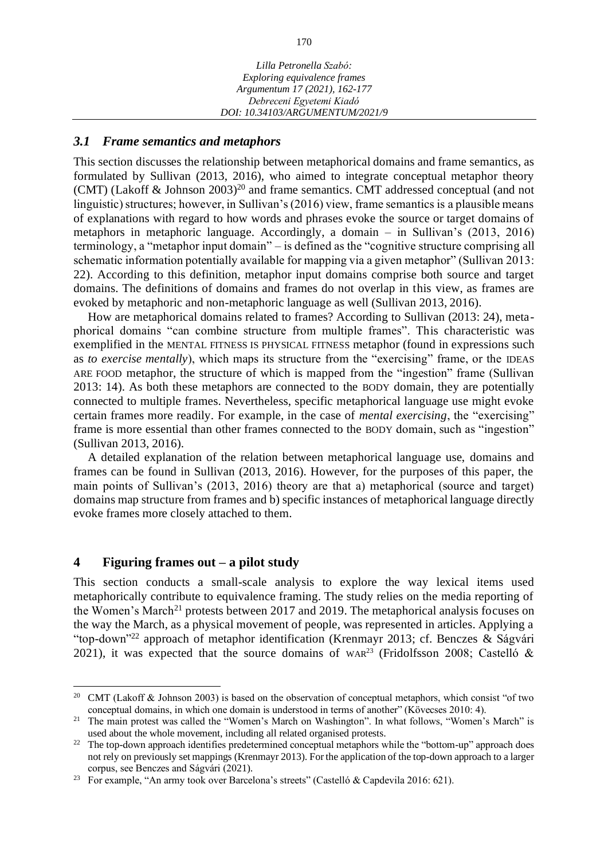#### *3.1 Frame semantics and metaphors*

This section discusses the relationship between metaphorical domains and frame semantics, as formulated by Sullivan (2013, 2016), who aimed to integrate conceptual metaphor theory (CMT) (Lakoff  $\&$  Johnson 2003)<sup>20</sup> and frame semantics. CMT addressed conceptual (and not linguistic) structures; however, in Sullivan's (2016) view, frame semantics is a plausible means of explanations with regard to how words and phrases evoke the source or target domains of metaphors in metaphoric language. Accordingly, a domain – in Sullivan's (2013, 2016) terminology, a "metaphor input domain" – is defined as the "cognitive structure comprising all schematic information potentially available for mapping via a given metaphor" (Sullivan 2013: 22). According to this definition, metaphor input domains comprise both source and target domains. The definitions of domains and frames do not overlap in this view, as frames are evoked by metaphoric and non-metaphoric language as well (Sullivan 2013, 2016).

How are metaphorical domains related to frames? According to Sullivan (2013: 24), metaphorical domains "can combine structure from multiple frames". This characteristic was exemplified in the MENTAL FITNESS IS PHYSICAL FITNESS metaphor (found in expressions such as *to exercise mentally*), which maps its structure from the "exercising" frame, or the IDEAS ARE FOOD metaphor, the structure of which is mapped from the "ingestion" frame (Sullivan 2013: 14). As both these metaphors are connected to the BODY domain, they are potentially connected to multiple frames. Nevertheless, specific metaphorical language use might evoke certain frames more readily. For example, in the case of *mental exercising*, the "exercising" frame is more essential than other frames connected to the BODY domain, such as "ingestion" (Sullivan 2013, 2016).

A detailed explanation of the relation between metaphorical language use, domains and frames can be found in Sullivan (2013, 2016). However, for the purposes of this paper, the main points of Sullivan's (2013, 2016) theory are that a) metaphorical (source and target) domains map structure from frames and b) specific instances of metaphorical language directly evoke frames more closely attached to them.

## **4 Figuring frames out – a pilot study**

This section conducts a small-scale analysis to explore the way lexical items used metaphorically contribute to equivalence framing. The study relies on the media reporting of the Women's March<sup>21</sup> protests between 2017 and 2019. The metaphorical analysis focuses on the way the March, as a physical movement of people, was represented in articles. Applying a "top-down"<sup>22</sup> approach of metaphor identification (Krenmayr 2013; cf. Benczes & Ságvári 2021), it was expected that the source domains of WAR<sup>23</sup> (Fridolfsson 2008; Castelló &

<sup>&</sup>lt;sup>20</sup> CMT (Lakoff & Johnson 2003) is based on the observation of conceptual metaphors, which consist "of two conceptual domains, in which one domain is understood in terms of another" (Kövecses 2010: 4).

<sup>&</sup>lt;sup>21</sup> The main protest was called the "Women's March on Washington". In what follows, "Women's March" is used about the whole movement, including all related organised protests.

<sup>&</sup>lt;sup>22</sup> The top-down approach identifies predetermined conceptual metaphors while the "bottom-up" approach does not rely on previously set mappings (Krenmayr 2013). For the application of the top-down approach to a larger corpus, see Benczes and Ságvári (2021).

<sup>&</sup>lt;sup>23</sup> For example, "An army took over Barcelona's streets" (Castelló & Capdevila 2016: 621).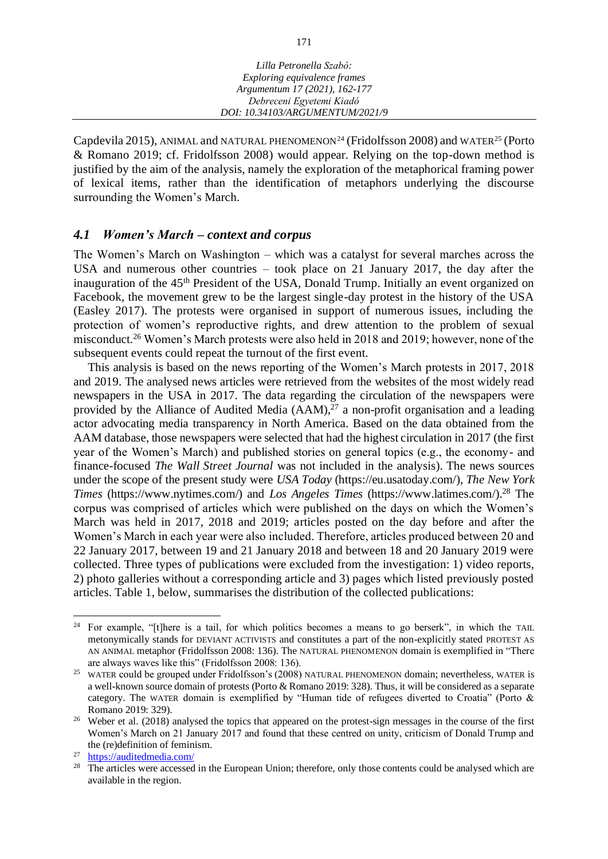| Lilla Petronella Szabó:         |  |
|---------------------------------|--|
| Exploring equivalence frames    |  |
| Argumentum 17 (2021), 162-177   |  |
| Debreceni Egyetemi Kiadó        |  |
| DOI: 10.34103/ARGUMENTUM/2021/9 |  |

Capdevila 2015), ANIMAL and NATURAL PHENOMENON<sup>24</sup> (Fridolfsson 2008) and WATER<sup>25</sup> (Porto & Romano 2019; cf. Fridolfsson 2008) would appear. Relying on the top-down method is justified by the aim of the analysis, namely the exploration of the metaphorical framing power of lexical items, rather than the identification of metaphors underlying the discourse surrounding the Women's March.

## *4.1 Women's March – context and corpus*

The Women's March on Washington – which was a catalyst for several marches across the USA and numerous other countries – took place on 21 January 2017, the day after the inauguration of the 45<sup>th</sup> President of the USA, Donald Trump. Initially an event organized on Facebook, the movement grew to be the largest single-day protest in the history of the USA (Easley 2017). The protests were organised in support of numerous issues, including the protection of women's reproductive rights, and drew attention to the problem of sexual misconduct.<sup>26</sup> Women's March protests were also held in 2018 and 2019; however, none of the subsequent events could repeat the turnout of the first event.

This analysis is based on the news reporting of the Women's March protests in 2017, 2018 and 2019. The analysed news articles were retrieved from the websites of the most widely read newspapers in the USA in 2017. The data regarding the circulation of the newspapers were provided by the Alliance of Audited Media  $(AAM)<sup>27</sup>$  a non-profit organisation and a leading actor advocating media transparency in North America. Based on the data obtained from the AAM database, those newspapers were selected that had the highest circulation in 2017 (the first year of the Women's March) and published stories on general topics (e.g., the economy- and finance-focused *The Wall Street Journal* was not included in the analysis). The news sources under the scope of the present study were *USA Today* (https://eu.usatoday.com/), *The New York Times* (https://www.nytimes.com/) and *Los Angeles Times* (https://www.latimes.com/).<sup>28</sup> The corpus was comprised of articles which were published on the days on which the Women's March was held in 2017, 2018 and 2019; articles posted on the day before and after the Women's March in each year were also included. Therefore, articles produced between 20 and 22 January 2017, between 19 and 21 January 2018 and between 18 and 20 January 2019 were collected. Three types of publications were excluded from the investigation: 1) video reports, 2) photo galleries without a corresponding article and 3) pages which listed previously posted articles. Table 1, below, summarises the distribution of the collected publications:

<sup>&</sup>lt;sup>24</sup> For example, "[t]here is a tail, for which politics becomes a means to go berserk", in which the TAIL metonymically stands for DEVIANT ACTIVISTS and constitutes a part of the non-explicitly stated PROTEST AS AN ANIMAL metaphor (Fridolfsson 2008: 136). The NATURAL PHENOMENON domain is exemplified in "There are always waves like this" (Fridolfsson 2008: 136).

<sup>&</sup>lt;sup>25</sup> WATER could be grouped under Fridolfsson's (2008) NATURAL PHENOMENON domain; nevertheless, WATER is a well-known source domain of protests (Porto & Romano 2019: 328). Thus, it will be considered as a separate category. The WATER domain is exemplified by "Human tide of refugees diverted to Croatia" (Porto & Romano 2019: 329).

<sup>&</sup>lt;sup>26</sup> Weber et al. (2018) analysed the topics that appeared on the protest-sign messages in the course of the first Women's March on 21 January 2017 and found that these centred on unity, criticism of Donald Trump and the (re)definition of feminism.

 $\frac{27}{28}$  <https://auditedmedia.com/><br> $\frac{28}{28}$  The articles were accessed

The articles were accessed in the European Union; therefore, only those contents could be analysed which are available in the region.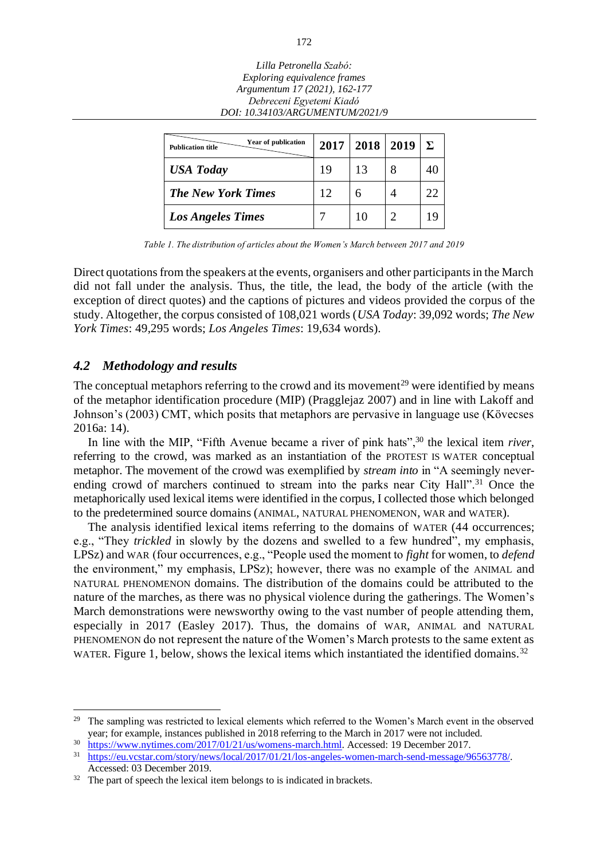| Lilla Petronella Szabó:         |
|---------------------------------|
| Exploring equivalence frames    |
| Argumentum 17 (2021), 162-177   |
| Debreceni Egyetemi Kiadó        |
| DOI: 10.34103/ARGUMENTUM/2021/9 |
|                                 |

| Year of publication<br><b>Publication title</b> | 2017 | 2018 | 2019 | $\Sigma$ |
|-------------------------------------------------|------|------|------|----------|
| <b>USA Today</b>                                | 19   | 13   |      | 40       |
| <b>The New York Times</b>                       | 12   |      |      | 22       |
| <b>Los Angeles Times</b>                        |      | 10   |      | 19       |

*Table 1. The distribution of articles about the Women's March between 2017 and 2019*

Direct quotations from the speakers at the events, organisers and other participants in the March did not fall under the analysis. Thus, the title, the lead, the body of the article (with the exception of direct quotes) and the captions of pictures and videos provided the corpus of the study. Altogether, the corpus consisted of 108,021 words (*USA Today*: 39,092 words; *The New York Times*: 49,295 words; *Los Angeles Times*: 19,634 words).

#### *4.2 Methodology and results*

The conceptual metaphors referring to the crowd and its movement<sup>29</sup> were identified by means of the metaphor identification procedure (MIP) (Pragglejaz 2007) and in line with Lakoff and Johnson's (2003) CMT, which posits that metaphors are pervasive in language use (Kövecses 2016a: 14).

In line with the MIP, "Fifth Avenue became a river of pink hats",<sup>30</sup> the lexical item *river*, referring to the crowd, was marked as an instantiation of the PROTEST IS WATER conceptual metaphor. The movement of the crowd was exemplified by *stream into* in "A seemingly neverending crowd of marchers continued to stream into the parks near City Hall".<sup>31</sup> Once the metaphorically used lexical items were identified in the corpus, I collected those which belonged to the predetermined source domains (ANIMAL, NATURAL PHENOMENON, WAR and WATER).

The analysis identified lexical items referring to the domains of WATER (44 occurrences; e.g., "They *trickled* in slowly by the dozens and swelled to a few hundred", my emphasis, LPSz) and WAR (four occurrences, e.g., "People used the moment to *fight* for women, to *defend* the environment," my emphasis, LPSz); however, there was no example of the ANIMAL and NATURAL PHENOMENON domains. The distribution of the domains could be attributed to the nature of the marches, as there was no physical violence during the gatherings. The Women's March demonstrations were newsworthy owing to the vast number of people attending them, especially in 2017 (Easley 2017). Thus, the domains of WAR, ANIMAL and NATURAL PHENOMENON do not represent the nature of the Women's March protests to the same extent as WATER. Figure 1, below, shows the lexical items which instantiated the identified domains.<sup>32</sup>

<sup>&</sup>lt;sup>29</sup> The sampling was restricted to lexical elements which referred to the Women's March event in the observed year; for example, instances published in 2018 referring to the March in 2017 were not included.

 $\frac{30}{100}$  [https://www.nytimes.com/2017/01/21/us/womens-march.html.](https://www.nytimes.com/2017/01/21/us/womens-march.html) Accessed: 19 December 2017.

[https://eu.vcstar.com/story/news/local/2017/01/21/los-angeles-women-march-send-message/96563778/.](https://eu.vcstar.com/story/news/local/2017/01/21/los-angeles-women-march-send-message/96563778/) Accessed: 03 December 2019.

 $32$  The part of speech the lexical item belongs to is indicated in brackets.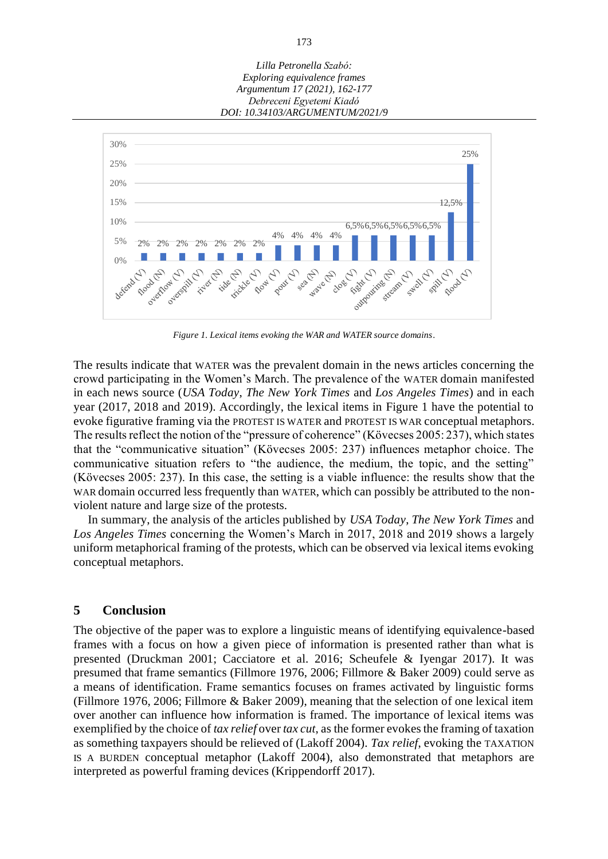



*Figure 1. Lexical items evoking the WAR and WATER source domains*.

The results indicate that WATER was the prevalent domain in the news articles concerning the crowd participating in the Women's March. The prevalence of the WATER domain manifested in each news source (*USA Today*, *The New York Times* and *Los Angeles Times*) and in each year (2017, 2018 and 2019). Accordingly, the lexical items in Figure 1 have the potential to evoke figurative framing via the PROTEST IS WATER and PROTEST IS WAR conceptual metaphors. The results reflect the notion of the "pressure of coherence" (Kövecses 2005: 237), which states that the "communicative situation" (Kövecses 2005: 237) influences metaphor choice. The communicative situation refers to "the audience, the medium, the topic, and the setting" (Kövecses 2005: 237). In this case, the setting is a viable influence: the results show that the WAR domain occurred less frequently than WATER, which can possibly be attributed to the nonviolent nature and large size of the protests.

In summary, the analysis of the articles published by *USA Today*, *The New York Times* and *Los Angeles Times* concerning the Women's March in 2017, 2018 and 2019 shows a largely uniform metaphorical framing of the protests, which can be observed via lexical items evoking conceptual metaphors.

#### **5 Conclusion**

The objective of the paper was to explore a linguistic means of identifying equivalence-based frames with a focus on how a given piece of information is presented rather than what is presented (Druckman 2001; Cacciatore et al. 2016; Scheufele & Iyengar 2017). It was presumed that frame semantics (Fillmore 1976, 2006; Fillmore & Baker 2009) could serve as a means of identification. Frame semantics focuses on frames activated by linguistic forms (Fillmore 1976, 2006; Fillmore & Baker 2009), meaning that the selection of one lexical item over another can influence how information is framed. The importance of lexical items was exemplified by the choice of *tax relief* over *tax cut*, as the former evokes the framing of taxation as something taxpayers should be relieved of (Lakoff 2004). *Tax relief*, evoking the TAXATION IS A BURDEN conceptual metaphor (Lakoff 2004), also demonstrated that metaphors are interpreted as powerful framing devices (Krippendorff 2017).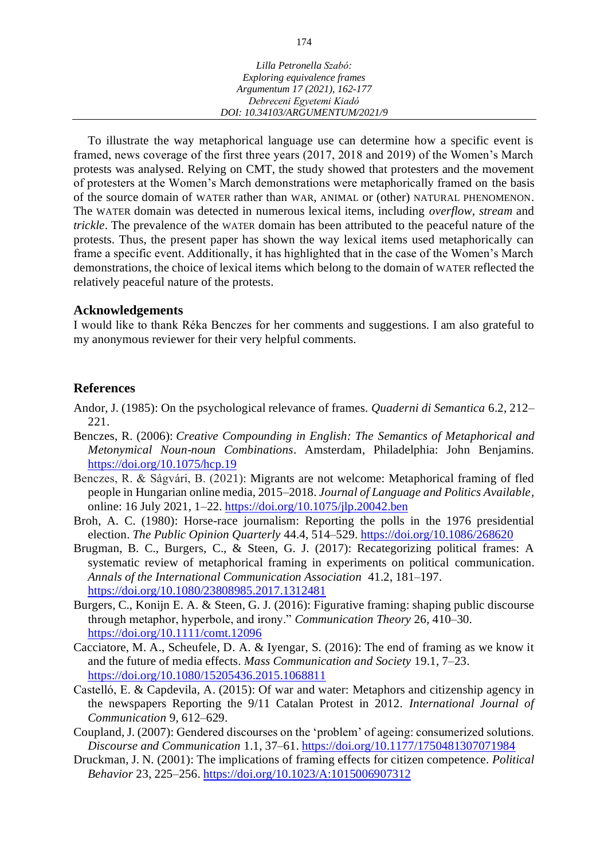| Lilla Petronella Szabó:         |
|---------------------------------|
| Exploring equivalence frames    |
| Argumentum 17 (2021), 162-177   |
| Debreceni Egyetemi Kiadó        |
| DOI: 10.34103/ARGUMENTUM/2021/9 |

To illustrate the way metaphorical language use can determine how a specific event is framed, news coverage of the first three years (2017, 2018 and 2019) of the Women's March protests was analysed. Relying on CMT, the study showed that protesters and the movement of protesters at the Women's March demonstrations were metaphorically framed on the basis of the source domain of WATER rather than WAR, ANIMAL or (other) NATURAL PHENOMENON. The WATER domain was detected in numerous lexical items, including *overflow*, *stream* and *trickle*. The prevalence of the WATER domain has been attributed to the peaceful nature of the protests. Thus, the present paper has shown the way lexical items used metaphorically can frame a specific event. Additionally, it has highlighted that in the case of the Women's March demonstrations, the choice of lexical items which belong to the domain of WATER reflected the relatively peaceful nature of the protests.

#### **Acknowledgements**

I would like to thank Réka Benczes for her comments and suggestions. I am also grateful to my anonymous reviewer for their very helpful comments.

#### **References**

- Andor, J. (1985): On the psychological relevance of frames. *Quaderni di Semantica* 6.2, 212– 221.
- Benczes, R. (2006): *Creative Compounding in English: The Semantics of Metaphorical and Metonymical Noun-noun Combinations*. Amsterdam, Philadelphia: John Benjamins. <https://doi.org/10.1075/hcp.19>
- Benczes, R. & Ságvári, B. (2021): Migrants are not welcome: Metaphorical framing of fled people in Hungarian online media, 2015–2018. *Journal of Language and Politics Available,* online: 16 July 2021, 1–22.<https://doi.org/10.1075/jlp.20042.ben>
- Broh, A. C. (1980): Horse-race journalism: Reporting the polls in the 1976 presidential election. *The Public Opinion Quarterly* 44.4, 514–529. <https://doi.org/10.1086/268620>
- Brugman, B. C., Burgers, C., & Steen, G. J. (2017): Recategorizing political frames: A systematic review of metaphorical framing in experiments on political communication. *[Annals of the International Communication Association](http://www.tandfonline.com/toc/rica20/41/2)* 41.2, 181–197. <https://doi.org/10.1080/23808985.2017.1312481>
- Burgers, C., Konijn E. A. & Steen, G. J. (2016): Figurative framing: shaping public discourse through metaphor, hyperbole, and irony." *Communication Theory* 26, 410–30. <https://doi.org/10.1111/comt.12096>
- Cacciatore, M. A., Scheufele, D. A. & Iyengar, S. (2016): The end of framing as we know it and the future of media effects. *Mass Communication and Society* 19.1, 7–23. <https://doi.org/10.1080/15205436.2015.1068811>
- Castelló, E. & Capdevila, A. (2015): Of war and water: Metaphors and citizenship agency in the newspapers Reporting the 9/11 Catalan Protest in 2012. *International Journal of Communication* 9, 612–629.
- Coupland, J. (2007): Gendered discourses on the 'problem' of ageing: consumerized solutions. *Discourse and Communication* 1.1, 37–61.<https://doi.org/10.1177/1750481307071984>
- Druckman, J. N. (2001): The implications of framing effects for citizen competence. *Political Behavior* 23, 225–256. <https://doi.org/10.1023/A:1015006907312>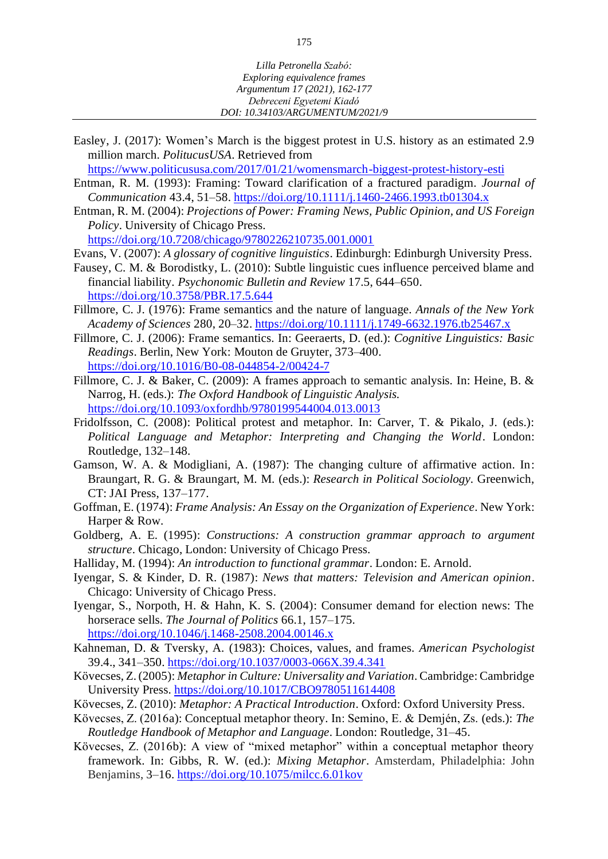Easley, J. (2017): Women's March is the biggest protest in U.S. history as an estimated 2.9 million march*. PolitucusUSA*. Retrieved from

<https://www.politicususa.com/2017/01/21/womensmarch-biggest-protest-history-esti>

- Entman, R. M. (1993): Framing: Toward clarification of a fractured paradigm. *Journal of Communication* 43.4, 51–58.<https://doi.org/10.1111/j.1460-2466.1993.tb01304.x>
- Entman, R. M. (2004): *Projections of Power: Framing News, Public Opinion, and US Foreign Policy*. University of Chicago Press. <https://doi.org/10.7208/chicago/9780226210735.001.0001>

Evans, V. (2007): *A glossary of cognitive linguistics*. Edinburgh: Edinburgh University Press.

- Fausey, C. M. & Borodistky, L. (2010): Subtle linguistic cues influence perceived blame and financial liability. *Psychonomic Bulletin and Review* 17.5, 644–650. <https://doi.org/10.3758/PBR.17.5.644>
- Fillmore, C. J. (1976): Frame semantics and the nature of language. *Annals of the New York Academy of Sciences* 280, 20–32. <https://doi.org/10.1111/j.1749-6632.1976.tb25467.x>
- Fillmore, C. J. (2006): Frame semantics. In: Geeraerts, D. (ed.): *Cognitive Linguistics: Basic Readings*. Berlin, New York: Mouton de Gruyter, 373–400. <https://doi.org/10.1016/B0-08-044854-2/00424-7>
- Fillmore, C. J. & Baker, C. (2009): A frames approach to semantic analysis. In: Heine, B. & Narrog, H. (eds.): *The Oxford Handbook of Linguistic Analysis.* <https://doi.org/10.1093/oxfordhb/9780199544004.013.0013>
- Fridolfsson, C. (2008): Political protest and metaphor. In: Carver, T. & Pikalo, J. (eds.): *Political Language and Metaphor: Interpreting and Changing the World*. London: Routledge, 132–148.
- Gamson, W. A. & Modigliani, A. (1987): The changing culture of affirmative action. In: Braungart, R. G. & Braungart, M. M. (eds.): *Research in Political Sociology.* Greenwich, CT: JAI Press, 137–177.
- Goffman, E. (1974): *Frame Analysis: An Essay on the Organization of Experience*. New York: Harper & Row.
- Goldberg, A. E. (1995): *Constructions: A construction grammar approach to argument structure*. Chicago, London: University of Chicago Press.
- Halliday, M. (1994): *An introduction to functional grammar*. London: E. Arnold.
- Iyengar, S. & Kinder, D. R. (1987): *News that matters: Television and American opinion*. Chicago: University of Chicago Press.
- Iyengar, S., Norpoth, H. & Hahn, K. S. (2004): Consumer demand for election news: The horserace sells. *The Journal of Politics* 66.1, 157–175. <https://doi.org/10.1046/j.1468-2508.2004.00146.x>
- Kahneman, D. & Tversky, A. (1983): Choices, values, and frames. *American Psychologist* 39.4., 341–350. <https://doi.org/10.1037/0003-066X.39.4.341>
- Kövecses, Z. (2005): *Metaphor in Culture: Universality and Variation*. Cambridge: Cambridge University Press. <https://doi.org/10.1017/CBO9780511614408>
- Kövecses, Z. (2010): *Metaphor: A Practical Introduction*. Oxford: Oxford University Press.
- Kövecses, Z. (2016a): Conceptual metaphor theory. In: Semino, E. & Demjén, Zs. (eds.): *The Routledge Handbook of Metaphor and Language*. London: Routledge, 31–45.
- Kövecses, Z. (2016b): A view of "mixed metaphor" within a conceptual metaphor theory framework. In: Gibbs, R. W. (ed.): *Mixing Metaphor*. Amsterdam, Philadelphia: John Benjamins, 3–16. <https://doi.org/10.1075/milcc.6.01kov>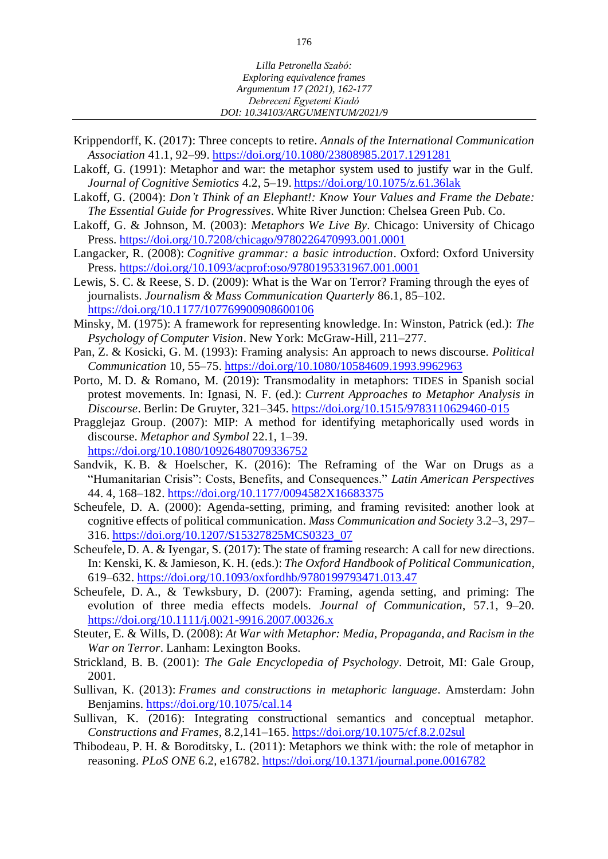- Krippendorff, K. (2017): Three concepts to retire. *Annals of the International Communication Association* 41.1, 92–99. <https://doi.org/10.1080/23808985.2017.1291281>
- Lakoff, G. (1991): Metaphor and war: the metaphor system used to justify war in the Gulf. *Journal of Cognitive Semiotics* 4.2, 5–19. <https://doi.org/10.1075/z.61.36lak>
- Lakoff, G. (2004): *Don't Think of an Elephant!: Know Your Values and Frame the Debate: The Essential Guide for Progressives*. White River Junction: Chelsea Green Pub. Co.
- Lakoff, G. & Johnson, M. (2003): *Metaphors We Live By*. Chicago: University of Chicago Press. <https://doi.org/10.7208/chicago/9780226470993.001.0001>
- Langacker, R. (2008): *Cognitive grammar: a basic introduction*. Oxford: Oxford University Press. <https://doi.org/10.1093/acprof:oso/9780195331967.001.0001>
- Lewis, S. C. & Reese, S. D. (2009): What is the War on Terror? Framing through the eyes of journalists. *Journalism & Mass Communication Quarterly* 86.1, 85–102. <https://doi.org/10.1177/107769900908600106>
- Minsky, M. (1975): A framework for representing knowledge. In: Winston, Patrick (ed.): *The Psychology of Computer Vision*. New York: McGraw-Hill, 211–277.
- Pan, Z. & Kosicki, G. M. (1993): Framing analysis: An approach to news discourse. *Political Communication* 10, 55–75. <https://doi.org/10.1080/10584609.1993.9962963>
- Porto, M. D. & Romano, M. (2019): Transmodality in metaphors: TIDES in Spanish social protest movements. In: Ignasi, N. F. (ed.): *Current Approaches to Metaphor Analysis in Discourse*. Berlin: De Gruyter, 321–345. <https://doi.org/10.1515/9783110629460-015>
- Pragglejaz Group. (2007): MIP: A method for identifying metaphorically used words in discourse. *Metaphor and Symbol* 22.1, 1–39. <https://doi.org/10.1080/10926480709336752>
- Sandvik, K. B. & Hoelscher, K. (2016): The Reframing of the War on Drugs as a "Humanitarian Crisis": Costs, Benefits, and Consequences." *Latin American Perspectives* 44. 4, 168–182. [https://doi.org/10.1177/0094582X16683375](https://doi.org/10.1177%2F0094582X16683375)
- Scheufele, D. A. (2000): Agenda-setting, priming, and framing revisited: another look at cognitive effects of political communication. *Mass Communication and Society* 3.2–3, 297– 316. [https://doi.org/10.1207/S15327825MCS0323\\_07](https://doi.org/10.1207/S15327825MCS0323_07)
- Scheufele, D. A. & Iyengar, S. (2017): The state of framing research: A call for new directions. In: Kenski, K. & Jamieson, K. H. (eds.): *The Oxford Handbook of Political Communication*, 619–632. <https://doi.org/10.1093/oxfordhb/9780199793471.013.47>
- Scheufele, D. A., & Tewksbury, D. (2007): Framing, agenda setting, and priming: The evolution of three media effects models. *Journal of Communication*, 57.1, 9–20. <https://doi.org/10.1111/j.0021-9916.2007.00326.x>
- Steuter, E. & Wills, D. (2008): *At War with Metaphor: Media, Propaganda, and Racism in the War on Terror*. Lanham: Lexington Books.
- Strickland, B. B. (2001): *The Gale Encyclopedia of Psychology*. Detroit, MI: Gale Group, 2001.
- Sullivan, K. (2013): *Frames and constructions in metaphoric language*. Amsterdam: John Benjamins. <https://doi.org/10.1075/cal.14>
- Sullivan, K. (2016): Integrating constructional semantics and conceptual metaphor. *Constructions and Frames*, 8.2*,*141–165. <https://doi.org/10.1075/cf.8.2.02sul>
- Thibodeau, P. H. & Boroditsky, L. (2011): Metaphors we think with: the role of metaphor in reasoning. *PLoS ONE* 6.2, e16782.<https://doi.org/10.1371/journal.pone.0016782>